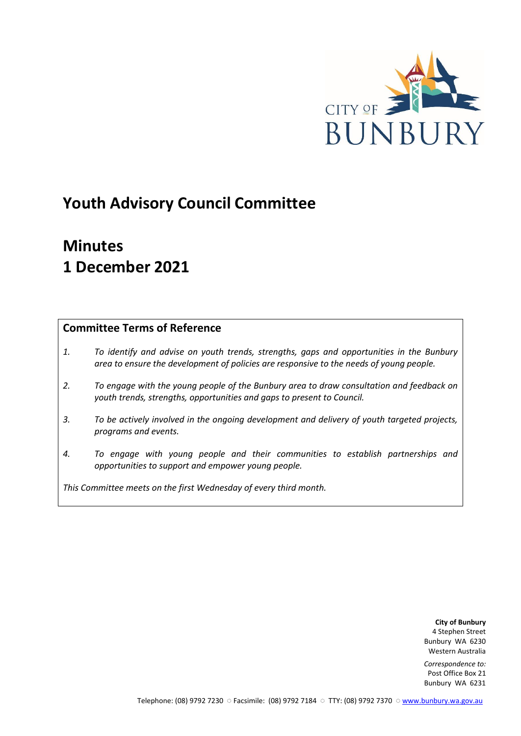

# **Youth Advisory Council Committee**

# **Minutes 1 December 2021**

## **Committee Terms of Reference**

- *1. To identify and advise on youth trends, strengths, gaps and opportunities in the Bunbury area to ensure the development of policies are responsive to the needs of young people.*
- *2. To engage with the young people of the Bunbury area to draw consultation and feedback on youth trends, strengths, opportunities and gaps to present to Council.*
- *3. To be actively involved in the ongoing development and delivery of youth targeted projects, programs and events.*
- *4. To engage with young people and their communities to establish partnerships and opportunities to support and empower young people.*

*This Committee meets on the first Wednesday of every third month.*

**City of Bunbury** 4 Stephen Street Bunbury WA 6230 Western Australia

*Correspondence to:* Post Office Box 21 Bunbury WA 6231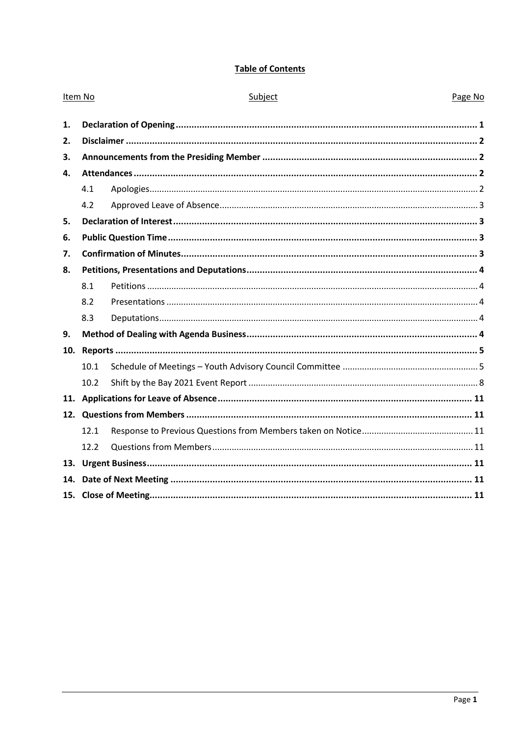## **Table of Contents**

| Item No |      | Subject | Page No |
|---------|------|---------|---------|
| 1.      |      |         |         |
| 2.      |      |         |         |
| 3.      |      |         |         |
| 4.      |      |         |         |
|         | 4.1  |         |         |
|         | 4.2  |         |         |
| 5.      |      |         |         |
| 6.      |      |         |         |
| 7.      |      |         |         |
| 8.      |      |         |         |
|         | 8.1  |         |         |
|         | 8.2  |         |         |
|         | 8.3  |         |         |
| 9.      |      |         |         |
| 10.     |      |         |         |
|         | 10.1 |         |         |
|         | 10.2 |         |         |
|         |      |         |         |
|         |      |         |         |
|         | 12.1 |         |         |
|         | 12.2 |         |         |
|         |      |         |         |
| 14.     |      |         |         |
|         |      |         |         |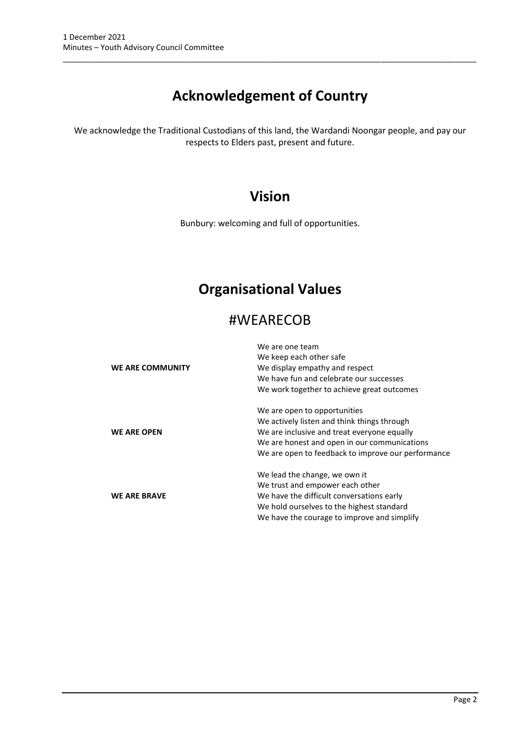# **Acknowledgement of Country**

\_\_\_\_\_\_\_\_\_\_\_\_\_\_\_\_\_\_\_\_\_\_\_\_\_\_\_\_\_\_\_\_\_\_\_\_\_\_\_\_\_\_\_\_\_\_\_\_\_\_\_\_\_\_\_\_\_\_\_\_\_\_\_\_\_\_\_\_\_\_\_\_\_\_\_\_\_\_\_\_\_\_\_\_\_\_\_\_\_\_\_\_\_\_\_

We acknowledge the Traditional Custodians of this land, the Wardandi Noongar people, and pay our respects to Elders past, present and future.

## **Vision**

Bunbury: welcoming and full of opportunities.

## **Organisational Values**

## #WEARECOB

|                     | We are one team                                    |
|---------------------|----------------------------------------------------|
|                     | We keep each other safe                            |
| WE ARE COMMUNITY    | We display empathy and respect                     |
|                     | We have fun and celebrate our successes            |
|                     | We work together to achieve great outcomes         |
|                     | We are open to opportunities                       |
|                     | We actively listen and think things through        |
| <b>WE ARE OPEN</b>  | We are inclusive and treat everyone equally        |
|                     | We are honest and open in our communications       |
|                     | We are open to feedback to improve our performance |
|                     | We lead the change, we own it                      |
|                     | We trust and empower each other                    |
| <b>WE ARE BRAVE</b> | We have the difficult conversations early          |
|                     | We hold ourselves to the highest standard          |
|                     | We have the courage to improve and simplify        |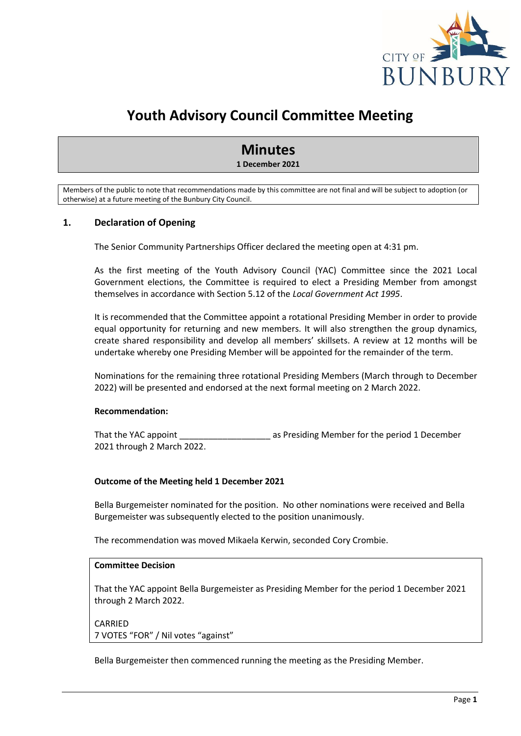

## **Youth Advisory Council Committee Meeting**

## **Minutes**

**1 December 2021**

Members of the public to note that recommendations made by this committee are not final and will be subject to adoption (or otherwise) at a future meeting of the Bunbury City Council.

#### <span id="page-3-0"></span>**1. Declaration of Opening**

The Senior Community Partnerships Officer declared the meeting open at 4:31 pm.

As the first meeting of the Youth Advisory Council (YAC) Committee since the 2021 Local Government elections, the Committee is required to elect a Presiding Member from amongst themselves in accordance with Section 5.12 of the *Local Government Act 1995*.

It is recommended that the Committee appoint a rotational Presiding Member in order to provide equal opportunity for returning and new members. It will also strengthen the group dynamics, create shared responsibility and develop all members' skillsets. A review at 12 months will be undertake whereby one Presiding Member will be appointed for the remainder of the term.

Nominations for the remaining three rotational Presiding Members (March through to December 2022) will be presented and endorsed at the next formal meeting on 2 March 2022.

#### **Recommendation:**

That the YAC appoint That the YAC appoint as Presiding Member for the period 1 December 2021 through 2 March 2022.

#### **Outcome of the Meeting held 1 December 2021**

Bella Burgemeister nominated for the position. No other nominations were received and Bella Burgemeister was subsequently elected to the position unanimously.

The recommendation was moved Mikaela Kerwin, seconded Cory Crombie.

#### **Committee Decision**

That the YAC appoint Bella Burgemeister as Presiding Member for the period 1 December 2021 through 2 March 2022.

CARRIED 7 VOTES "FOR" / Nil votes "against"

Bella Burgemeister then commenced running the meeting as the Presiding Member.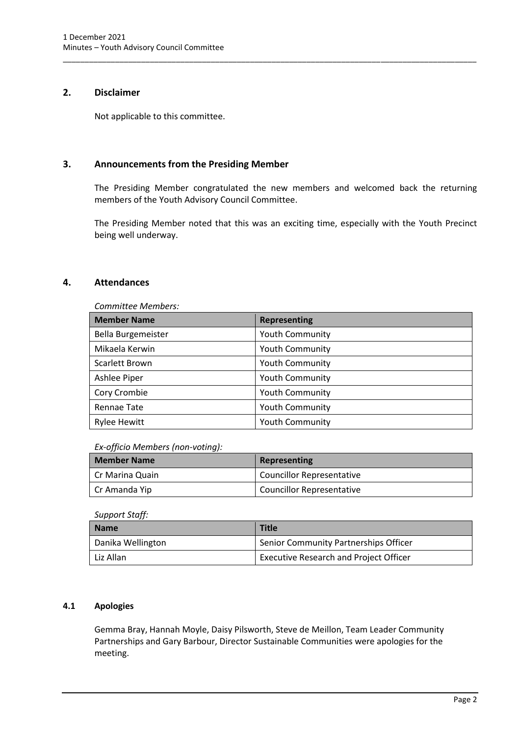### <span id="page-4-0"></span>**2. Disclaimer**

Not applicable to this committee.

### <span id="page-4-1"></span>**3. Announcements from the Presiding Member**

The Presiding Member congratulated the new members and welcomed back the returning members of the Youth Advisory Council Committee.

\_\_\_\_\_\_\_\_\_\_\_\_\_\_\_\_\_\_\_\_\_\_\_\_\_\_\_\_\_\_\_\_\_\_\_\_\_\_\_\_\_\_\_\_\_\_\_\_\_\_\_\_\_\_\_\_\_\_\_\_\_\_\_\_\_\_\_\_\_\_\_\_\_\_\_\_\_\_\_\_\_\_\_\_\_\_\_\_\_\_\_\_\_\_\_

The Presiding Member noted that this was an exciting time, especially with the Youth Precinct being well underway.

#### <span id="page-4-2"></span>**4. Attendances**

| Committee Members:  |                        |  |
|---------------------|------------------------|--|
| <b>Member Name</b>  | Representing           |  |
| Bella Burgemeister  | <b>Youth Community</b> |  |
| Mikaela Kerwin      | <b>Youth Community</b> |  |
| Scarlett Brown      | <b>Youth Community</b> |  |
| Ashlee Piper        | <b>Youth Community</b> |  |
| Cory Crombie        | <b>Youth Community</b> |  |
| Rennae Tate         | <b>Youth Community</b> |  |
| <b>Rylee Hewitt</b> | <b>Youth Community</b> |  |

#### *Ex-officio Members (non-voting):*

| <b>Member Name</b> | Representing                     |
|--------------------|----------------------------------|
| Cr Marina Quain    | <b>Councillor Representative</b> |
| Cr Amanda Yip      | <b>Councillor Representative</b> |

#### *Support Staff:*

| Name              | Title                                         |
|-------------------|-----------------------------------------------|
| Danika Wellington | Senior Community Partnerships Officer         |
| Liz Allan         | <b>Executive Research and Project Officer</b> |

#### <span id="page-4-3"></span>**4.1 Apologies**

Gemma Bray, Hannah Moyle, Daisy Pilsworth, Steve de Meillon, Team Leader Community Partnerships and Gary Barbour, Director Sustainable Communities were apologies for the meeting.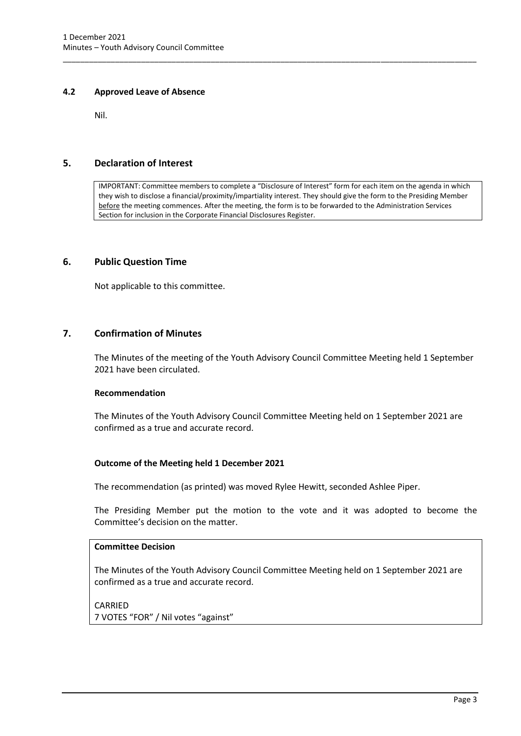#### <span id="page-5-0"></span>**4.2 Approved Leave of Absence**

Nil.

#### <span id="page-5-1"></span>**5. Declaration of Interest**

IMPORTANT: Committee members to complete a "Disclosure of Interest" form for each item on the agenda in which they wish to disclose a financial/proximity/impartiality interest. They should give the form to the Presiding Member before the meeting commences. After the meeting, the form is to be forwarded to the Administration Services Section for inclusion in the Corporate Financial Disclosures Register.

\_\_\_\_\_\_\_\_\_\_\_\_\_\_\_\_\_\_\_\_\_\_\_\_\_\_\_\_\_\_\_\_\_\_\_\_\_\_\_\_\_\_\_\_\_\_\_\_\_\_\_\_\_\_\_\_\_\_\_\_\_\_\_\_\_\_\_\_\_\_\_\_\_\_\_\_\_\_\_\_\_\_\_\_\_\_\_\_\_\_\_\_\_\_\_

#### <span id="page-5-2"></span>**6. Public Question Time**

Not applicable to this committee.

#### <span id="page-5-3"></span>**7. Confirmation of Minutes**

The Minutes of the meeting of the Youth Advisory Council Committee Meeting held 1 September 2021 have been circulated.

#### **Recommendation**

The Minutes of the Youth Advisory Council Committee Meeting held on 1 September 2021 are confirmed as a true and accurate record.

#### **Outcome of the Meeting held 1 December 2021**

The recommendation (as printed) was moved Rylee Hewitt, seconded Ashlee Piper.

The Presiding Member put the motion to the vote and it was adopted to become the Committee's decision on the matter.

#### **Committee Decision**

The Minutes of the Youth Advisory Council Committee Meeting held on 1 September 2021 are confirmed as a true and accurate record.

#### CARRIED

7 VOTES "FOR" / Nil votes "against"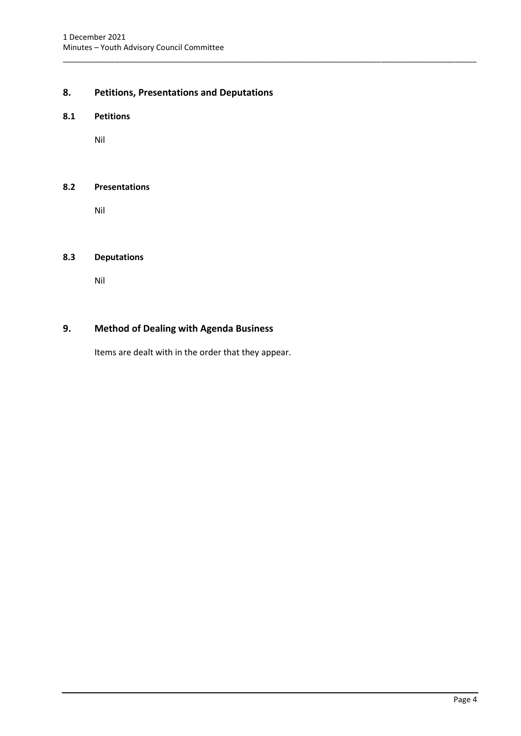## <span id="page-6-0"></span>**8. Petitions, Presentations and Deputations**

\_\_\_\_\_\_\_\_\_\_\_\_\_\_\_\_\_\_\_\_\_\_\_\_\_\_\_\_\_\_\_\_\_\_\_\_\_\_\_\_\_\_\_\_\_\_\_\_\_\_\_\_\_\_\_\_\_\_\_\_\_\_\_\_\_\_\_\_\_\_\_\_\_\_\_\_\_\_\_\_\_\_\_\_\_\_\_\_\_\_\_\_\_\_\_

#### <span id="page-6-1"></span>**8.1 Petitions**

Nil

#### <span id="page-6-2"></span>**8.2 Presentations**

Nil

#### <span id="page-6-3"></span>**8.3 Deputations**

Nil

### <span id="page-6-4"></span>**9. Method of Dealing with Agenda Business**

Items are dealt with in the order that they appear.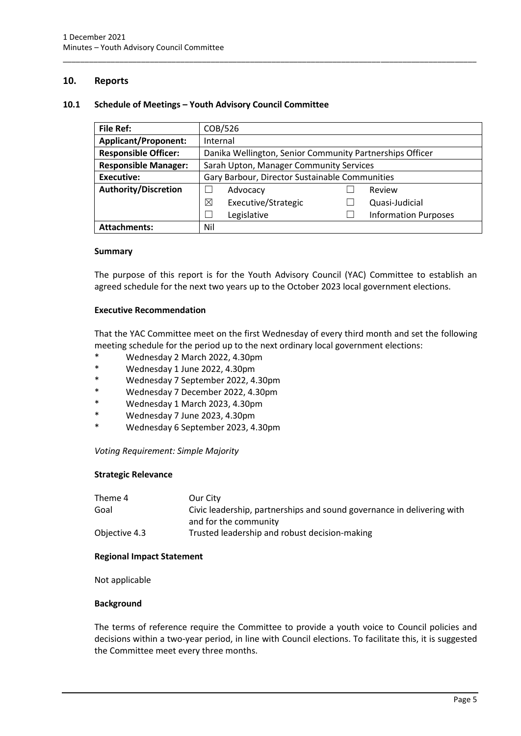#### <span id="page-7-0"></span>**10. Reports**

#### <span id="page-7-1"></span>**10.1 Schedule of Meetings – Youth Advisory Council Committee**

| <b>File Ref:</b>            | COB/526                                                  |  |                             |
|-----------------------------|----------------------------------------------------------|--|-----------------------------|
| <b>Applicant/Proponent:</b> | Internal                                                 |  |                             |
| <b>Responsible Officer:</b> | Danika Wellington, Senior Community Partnerships Officer |  |                             |
| <b>Responsible Manager:</b> | Sarah Upton, Manager Community Services                  |  |                             |
| <b>Executive:</b>           | Gary Barbour, Director Sustainable Communities           |  |                             |
| <b>Authority/Discretion</b> | Advocacy                                                 |  | Review                      |
|                             | ⊠<br>Executive/Strategic                                 |  | Quasi-Judicial              |
|                             | Legislative                                              |  | <b>Information Purposes</b> |
| <b>Attachments:</b>         | Nil                                                      |  |                             |

\_\_\_\_\_\_\_\_\_\_\_\_\_\_\_\_\_\_\_\_\_\_\_\_\_\_\_\_\_\_\_\_\_\_\_\_\_\_\_\_\_\_\_\_\_\_\_\_\_\_\_\_\_\_\_\_\_\_\_\_\_\_\_\_\_\_\_\_\_\_\_\_\_\_\_\_\_\_\_\_\_\_\_\_\_\_\_\_\_\_\_\_\_\_\_

#### **Summary**

The purpose of this report is for the Youth Advisory Council (YAC) Committee to establish an agreed schedule for the next two years up to the October 2023 local government elections.

#### **Executive Recommendation**

That the YAC Committee meet on the first Wednesday of every third month and set the following meeting schedule for the period up to the next ordinary local government elections:

- Wednesday 2 March 2022, 4.30pm
- \* Wednesday 1 June 2022, 4.30pm
- \* Wednesday 7 September 2022, 4.30pm
- Wednesday 7 December 2022, 4.30pm
- Wednesday 1 March 2023, 4.30pm
- \* Wednesday 7 June 2023, 4.30pm
- \* Wednesday 6 September 2023, 4.30pm

#### *Voting Requirement: Simple Majority*

#### **Strategic Relevance**

| Theme 4       | Our City                                                               |
|---------------|------------------------------------------------------------------------|
| Goal          | Civic leadership, partnerships and sound governance in delivering with |
|               | and for the community                                                  |
| Objective 4.3 | Trusted leadership and robust decision-making                          |

#### **Regional Impact Statement**

Not applicable

#### **Background**

The terms of reference require the Committee to provide a youth voice to Council policies and decisions within a two-year period, in line with Council elections. To facilitate this, it is suggested the Committee meet every three months.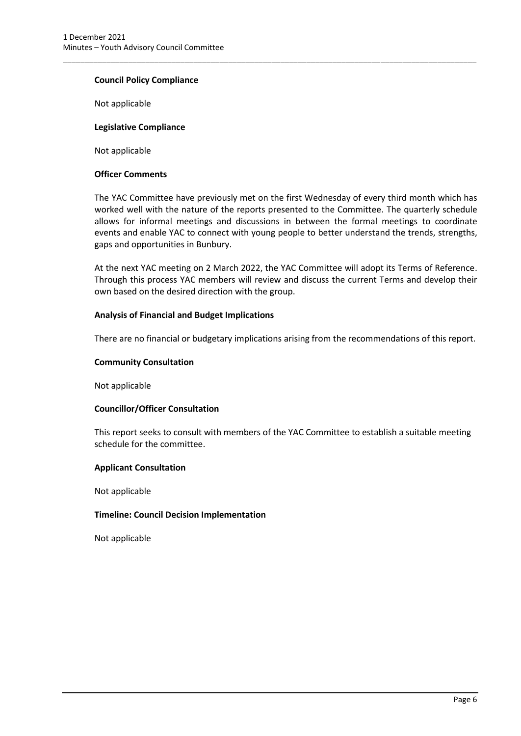#### **Council Policy Compliance**

Not applicable

#### **Legislative Compliance**

Not applicable

#### **Officer Comments**

The YAC Committee have previously met on the first Wednesday of every third month which has worked well with the nature of the reports presented to the Committee. The quarterly schedule allows for informal meetings and discussions in between the formal meetings to coordinate events and enable YAC to connect with young people to better understand the trends, strengths, gaps and opportunities in Bunbury.

\_\_\_\_\_\_\_\_\_\_\_\_\_\_\_\_\_\_\_\_\_\_\_\_\_\_\_\_\_\_\_\_\_\_\_\_\_\_\_\_\_\_\_\_\_\_\_\_\_\_\_\_\_\_\_\_\_\_\_\_\_\_\_\_\_\_\_\_\_\_\_\_\_\_\_\_\_\_\_\_\_\_\_\_\_\_\_\_\_\_\_\_\_\_\_

At the next YAC meeting on 2 March 2022, the YAC Committee will adopt its Terms of Reference. Through this process YAC members will review and discuss the current Terms and develop their own based on the desired direction with the group.

#### **Analysis of Financial and Budget Implications**

There are no financial or budgetary implications arising from the recommendations of this report.

#### **Community Consultation**

Not applicable

#### **Councillor/Officer Consultation**

This report seeks to consult with members of the YAC Committee to establish a suitable meeting schedule for the committee.

#### **Applicant Consultation**

Not applicable

#### **Timeline: Council Decision Implementation**

Not applicable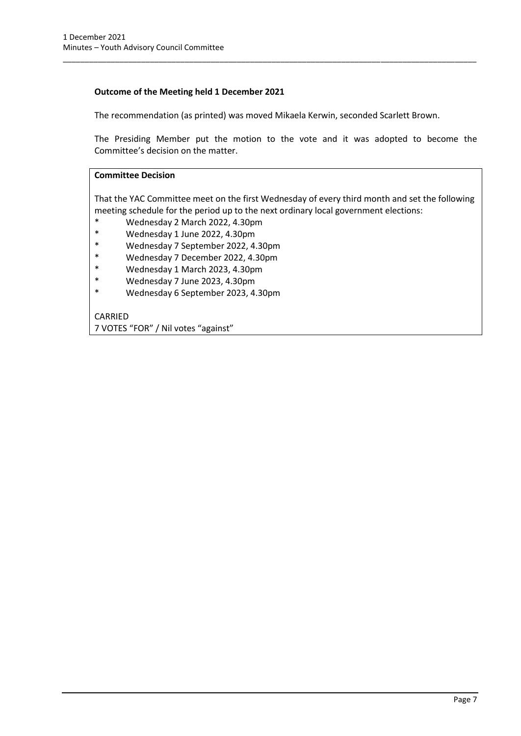#### **Outcome of the Meeting held 1 December 2021**

The recommendation (as printed) was moved Mikaela Kerwin, seconded Scarlett Brown.

\_\_\_\_\_\_\_\_\_\_\_\_\_\_\_\_\_\_\_\_\_\_\_\_\_\_\_\_\_\_\_\_\_\_\_\_\_\_\_\_\_\_\_\_\_\_\_\_\_\_\_\_\_\_\_\_\_\_\_\_\_\_\_\_\_\_\_\_\_\_\_\_\_\_\_\_\_\_\_\_\_\_\_\_\_\_\_\_\_\_\_\_\_\_\_

The Presiding Member put the motion to the vote and it was adopted to become the Committee's decision on the matter.

#### **Committee Decision**

That the YAC Committee meet on the first Wednesday of every third month and set the following meeting schedule for the period up to the next ordinary local government elections:

- \* Wednesday 2 March 2022, 4.30pm
- \* Wednesday 1 June 2022, 4.30pm
- Wednesday 7 September 2022, 4.30pm
- \* Wednesday 7 December 2022, 4.30pm
- \* Wednesday 1 March 2023, 4.30pm
- \* Wednesday 7 June 2023, 4.30pm
- Wednesday 6 September 2023, 4.30pm

#### CARRIED

7 VOTES "FOR" / Nil votes "against"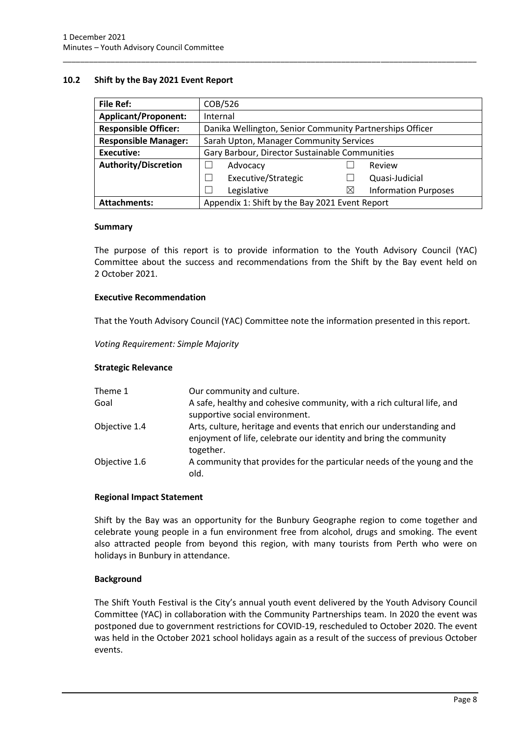#### <span id="page-10-0"></span>**10.2 Shift by the Bay 2021 Event Report**

| <b>File Ref:</b>                                                      | COB/526                                                  |   |                             |
|-----------------------------------------------------------------------|----------------------------------------------------------|---|-----------------------------|
| <b>Applicant/Proponent:</b>                                           | Internal                                                 |   |                             |
| <b>Responsible Officer:</b>                                           | Danika Wellington, Senior Community Partnerships Officer |   |                             |
| <b>Responsible Manager:</b>                                           | Sarah Upton, Manager Community Services                  |   |                             |
| Executive:                                                            | Gary Barbour, Director Sustainable Communities           |   |                             |
| <b>Authority/Discretion</b>                                           | Advocacy                                                 |   | Review                      |
|                                                                       | Executive/Strategic                                      |   | Quasi-Judicial              |
|                                                                       | Legislative                                              | ⋉ | <b>Information Purposes</b> |
| Appendix 1: Shift by the Bay 2021 Event Report<br><b>Attachments:</b> |                                                          |   |                             |

\_\_\_\_\_\_\_\_\_\_\_\_\_\_\_\_\_\_\_\_\_\_\_\_\_\_\_\_\_\_\_\_\_\_\_\_\_\_\_\_\_\_\_\_\_\_\_\_\_\_\_\_\_\_\_\_\_\_\_\_\_\_\_\_\_\_\_\_\_\_\_\_\_\_\_\_\_\_\_\_\_\_\_\_\_\_\_\_\_\_\_\_\_\_\_

#### **Summary**

The purpose of this report is to provide information to the Youth Advisory Council (YAC) Committee about the success and recommendations from the Shift by the Bay event held on 2 October 2021.

#### **Executive Recommendation**

That the Youth Advisory Council (YAC) Committee note the information presented in this report.

*Voting Requirement: Simple Majority* 

#### **Strategic Relevance**

| Theme 1       | Our community and culture.                                                                                                                             |
|---------------|--------------------------------------------------------------------------------------------------------------------------------------------------------|
| Goal          | A safe, healthy and cohesive community, with a rich cultural life, and<br>supportive social environment.                                               |
| Objective 1.4 | Arts, culture, heritage and events that enrich our understanding and<br>enjoyment of life, celebrate our identity and bring the community<br>together. |
| Objective 1.6 | A community that provides for the particular needs of the young and the<br>old.                                                                        |

#### **Regional Impact Statement**

Shift by the Bay was an opportunity for the Bunbury Geographe region to come together and celebrate young people in a fun environment free from alcohol, drugs and smoking. The event also attracted people from beyond this region, with many tourists from Perth who were on holidays in Bunbury in attendance.

#### **Background**

The Shift Youth Festival is the City's annual youth event delivered by the Youth Advisory Council Committee (YAC) in collaboration with the Community Partnerships team. In 2020 the event was postponed due to government restrictions for COVID-19, rescheduled to October 2020. The event was held in the October 2021 school holidays again as a result of the success of previous October events.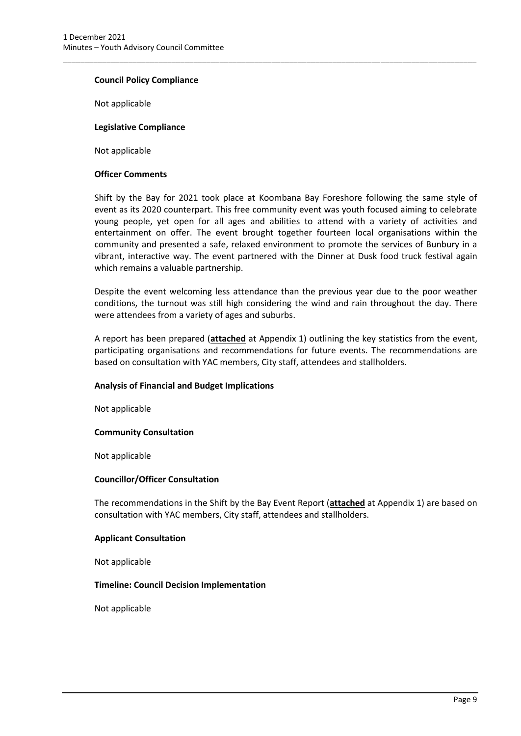#### **Council Policy Compliance**

Not applicable

#### **Legislative Compliance**

Not applicable

#### **Officer Comments**

Shift by the Bay for 2021 took place at Koombana Bay Foreshore following the same style of event as its 2020 counterpart. This free community event was youth focused aiming to celebrate young people, yet open for all ages and abilities to attend with a variety of activities and entertainment on offer. The event brought together fourteen local organisations within the community and presented a safe, relaxed environment to promote the services of Bunbury in a vibrant, interactive way. The event partnered with the Dinner at Dusk food truck festival again which remains a valuable partnership.

\_\_\_\_\_\_\_\_\_\_\_\_\_\_\_\_\_\_\_\_\_\_\_\_\_\_\_\_\_\_\_\_\_\_\_\_\_\_\_\_\_\_\_\_\_\_\_\_\_\_\_\_\_\_\_\_\_\_\_\_\_\_\_\_\_\_\_\_\_\_\_\_\_\_\_\_\_\_\_\_\_\_\_\_\_\_\_\_\_\_\_\_\_\_\_

Despite the event welcoming less attendance than the previous year due to the poor weather conditions, the turnout was still high considering the wind and rain throughout the day. There were attendees from a variety of ages and suburbs.

A report has been prepared (**attached** at Appendix 1) outlining the key statistics from the event, participating organisations and recommendations for future events. The recommendations are based on consultation with YAC members, City staff, attendees and stallholders.

#### **Analysis of Financial and Budget Implications**

Not applicable

#### **Community Consultation**

Not applicable

#### **Councillor/Officer Consultation**

The recommendations in the Shift by the Bay Event Report (**attached** at Appendix 1) are based on consultation with YAC members, City staff, attendees and stallholders.

#### **Applicant Consultation**

Not applicable

#### **Timeline: Council Decision Implementation**

Not applicable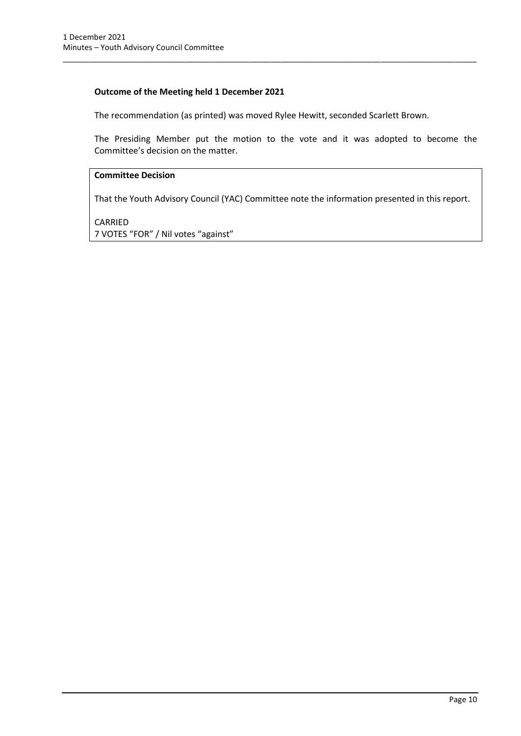#### **Outcome of the Meeting held 1 December 2021**

The recommendation (as printed) was moved Rylee Hewitt, seconded Scarlett Brown.

\_\_\_\_\_\_\_\_\_\_\_\_\_\_\_\_\_\_\_\_\_\_\_\_\_\_\_\_\_\_\_\_\_\_\_\_\_\_\_\_\_\_\_\_\_\_\_\_\_\_\_\_\_\_\_\_\_\_\_\_\_\_\_\_\_\_\_\_\_\_\_\_\_\_\_\_\_\_\_\_\_\_\_\_\_\_\_\_\_\_\_\_\_\_\_

The Presiding Member put the motion to the vote and it was adopted to become the Committee's decision on the matter.

#### **Committee Decision**

That the Youth Advisory Council (YAC) Committee note the information presented in this report.

CARRIED 7 VOTES "FOR" / Nil votes "against"